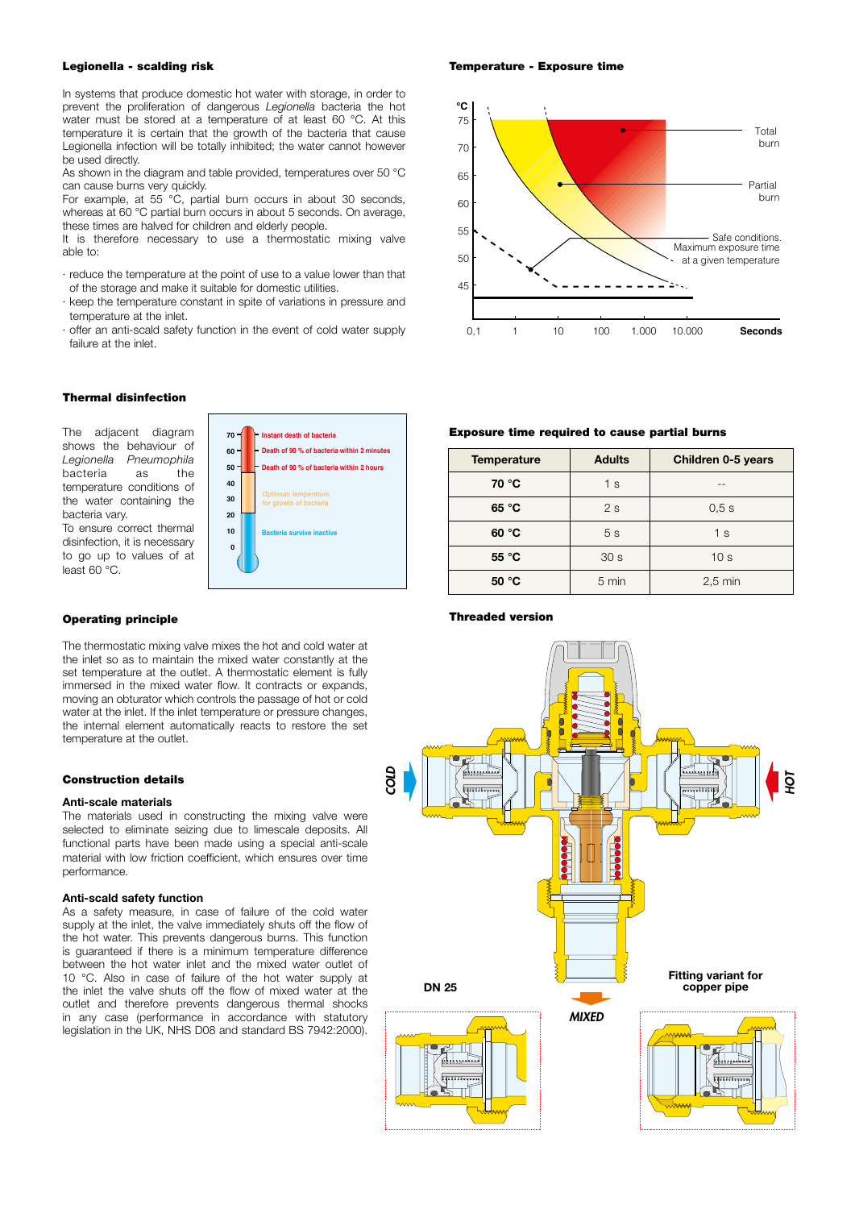## Legionella - scalding risk

In systems that produce domestic hot water with storage, in order to prevent the proliferation of dangerous *Legionella* bacteria the hot water must be stored at a temperature of at least 60 °C. At this temperature it is certain that the growth of the bacteria that cause Legionella infection will be totally inhibited; the water cannot however be used directly.

As shown in the diagram and table provided, temperatures over 50 °C can cause burns very quickly.

For example, at 55 °C, partial burn occurs in about 30 seconds, whereas at 60 °C partial burn occurs in about 5 seconds. On average, these times are halved for children and elderly people.

It is therefore necessary to use a thermostatic mixing valve able to:

- · reduce the temperature at the point of use to a value lower than that of the storage and make it suitable for domestic utilities.
- keep the temperature constant in spite of variations in pressure and temperature at the inlet.
- · offer an anti-scald safety function in the event of cold water supply failure at the inlet.

#### Thermal disinfection

The adjacent diagram shows the behaviour of *Legionella Pneumophila* bacteria as the temperature conditions of the water containing the bacteria vary. To ensure correct thermal disinfection, it is necessary

to go up to values of at

least 60 °C.



## Operating principle

The thermostatic mixing valve mixes the hot and cold water at the inlet so as to maintain the mixed water constantly at the set temperature at the outlet. A thermostatic element is fully immersed in the mixed water flow. It contracts or expands, moving an obturator which controls the passage of hot or cold water at the inlet. If the inlet temperature or pressure changes, the internal element automatically reacts to restore the set temperature at the outlet.

# Construction details

## Anti-scale materials

The materials used in constructing the mixing valve were selected to eliminate seizing due to limescale deposits. All functional parts have been made using a special anti-scale material with low friction coefficient, which ensures over time performance.

### Anti-scald safety function

As a safety measure, in case of failure of the cold water supply at the inlet, the valve immediately shuts off the flow of the hot water. This prevents dangerous burns. This function is guaranteed if there is a minimum temperature difference between the hot water inlet and the mixed water outlet of 10 °C. Also in case of failure of the hot water supply at the inlet the valve shuts off the flow of mixed water at the outlet and therefore prevents dangerous thermal shocks in any case (performance in accordance with statutory legislation in the UK, NHS D08 and standard BS 7942:2000).

Temperature - Exposure time



# Exposure time required to cause partial burns

| <b>Temperature</b> | <b>Adults</b>   | Children 0-5 years |
|--------------------|-----------------|--------------------|
| 70 °C              | 1 <sub>s</sub>  |                    |
| 65 °C              | 2s              | 0.5s               |
| 60 °C              | 5s              | 1 <sub>s</sub>     |
| 55 °C              | 30 <sub>s</sub> | 10 <sub>s</sub>    |
| 50 °C              | 5 min           | $2.5 \text{ min}$  |

Threaded version

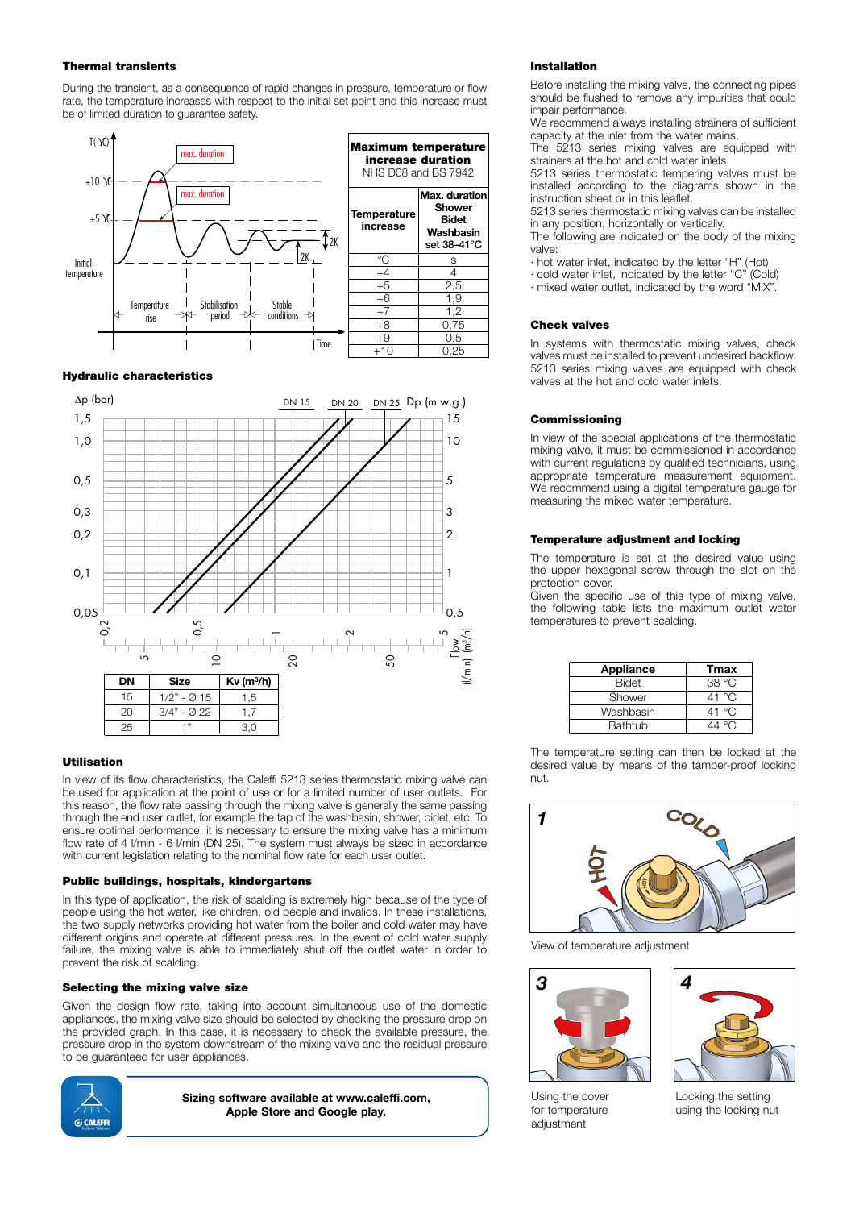## Thermal transients

During the transient, as a consequence of rapid changes in pressure, temperature or flow rate, the temperature increases with respect to the initial set point and this increase must be of limited duration to guarantee safety.



### Hydraulic characteristics



## Utilisation

In view of its flow characteristics, the Caleffi 5213 series thermostatic mixing valve can be used for application at the point of use or for a limited number of user outlets. For this reason, the flow rate passing through the mixing valve is generally the same passing through the end user outlet, for example the tap of the washbasin, shower, bidet, etc. To ensure optimal performance, it is necessary to ensure the mixing valve has a minimum flow rate of 4 l/min - 6 l/min (DN 25). The system must always be sized in accordance with current legislation relating to the nominal flow rate for each user outlet.

#### Public buildings, hospitals, kindergartens

In this type of application, the risk of scalding is extremely high because of the type of people using the hot water, like children, old people and invalids. In these installations, the two supply networks providing hot water from the boiler and cold water may have different origins and operate at different pressures. In the event of cold water supply failure, the mixing valve is able to immediately shut off the outlet water in order to prevent the risk of scalding.

#### Selecting the mixing valve size

Given the design flow rate, taking into account simultaneous use of the domestic appliances, the mixing valve size should be selected by checking the pressure drop on the provided graph. In this case, it is necessary to check the available pressure, the pressure drop in the system downstream of the mixing valve and the residual pressure to be guaranteed for user appliances.



Sizing software available at www.caleffi.com, Apple Store and Google play.

#### Installation

Before installing the mixing valve, the connecting pipes should be flushed to remove any impurities that could impair performance.

We recommend always installing strainers of sufficient capacity at the inlet from the water mains.

The 5213 series mixing valves are equipped with strainers at the hot and cold water inlets.

5213 series thermostatic tempering valves must be installed according to the diagrams shown in the instruction sheet or in this leaflet.

5213 series thermostatic mixing valves can be installed in any position, horizontally or vertically.

The following are indicated on the body of the mixing valve:

· hot water inlet, indicated by the letter "H" (Hot)

· cold water inlet, indicated by the letter "C" (Cold)

· mixed water outlet, indicated by the word "MIX".

## Check valves

In systems with thermostatic mixing valves, check valves must be installed to prevent undesired backflow. 5213 series mixing valves are equipped with check valves at the hot and cold water inlets.

### **Commissioning**

In view of the special applications of the thermostatic mixing valve, it must be commissioned in accordance with current regulations by qualified technicians, using appropriate temperature measurement equipment. We recommend using a digital temperature gauge for measuring the mixed water temperature.

## Temperature adjustment and locking

The temperature is set at the desired value using the upper hexagonal screw through the slot on the protection cover.

Given the specific use of this type of mixing valve, the following table lists the maximum outlet water temperatures to prevent scalding.

| Appliance | Tmax            |
|-----------|-----------------|
| Bidet     | 38°C            |
| Shower    | 41 $^{\circ}$ C |
| Washbasin | 41 $^{\circ}$ C |
| Bathtub   |                 |

The temperature setting can then be locked at the desired value by means of the tamper-proof locking nut.



View of temperature adjustment



Using the cover for temperature adjustment



Locking the setting using the locking nut